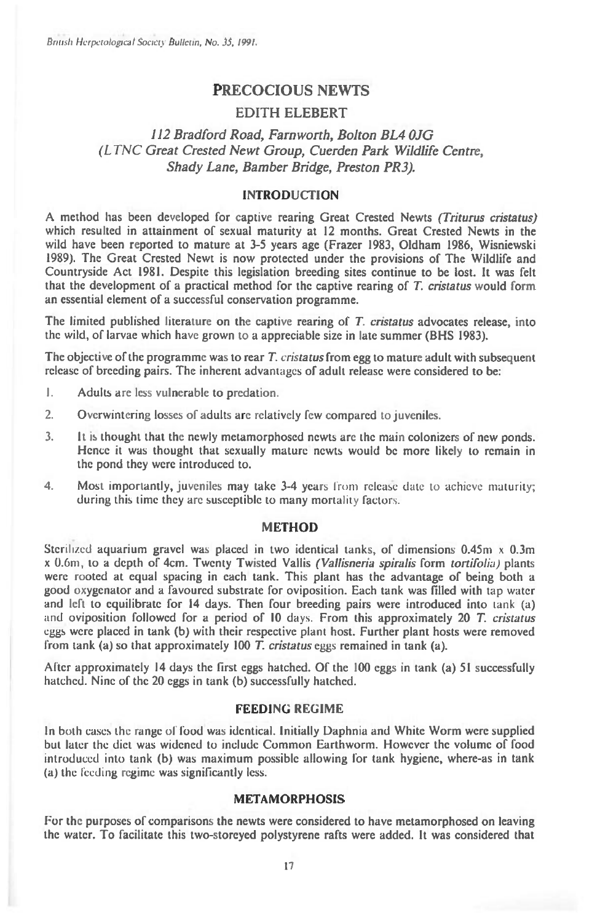British Herpetological Society Bulletin, No. 35, 1991.

# **PRECOCIOUS NEWTS**

## **EDITH ELEBERT**

# *112 Bradford Road, Farnworth, Bolton BL4 OJG (LTNC Great Crested Newt Group, Cuerden Park Wildlife Centre, Shady Lane, Bamber Bridge, Preston PR3).*

### **INTRODUCTION**

**A method has been developed for captive rearing Great Crested Newts** (Triturus cristatus) **which resulted in attainment of sexual maturity at 12 months. Great Crested Newts in the wild have been reported to mature at 3-5 years age (Frazer 1983, Oldham 1986, Wisniewski 1989). The Great Crested Newt is now protected under the provisions of The Wildlife and Countryside Act 1981. Despite this legislation breeding sites continue to be lost. It was felt that the development of a practical method for the captive rearing of** T. cristatus **would form an essential element of a successful conservation programme.** 

**The limited published literature on the captive rearing of** T. cristatus **advocates release, into the wild, of larvae which have grown to a appreciable size in late summer (BHS 1983).** 

The objective of the programme was to rear T, cristatus from egg to mature adult with subsequent **release of breeding pairs. The inherent advantages of adult release were considered to be:** 

- **1. Adults are less vulnerable to predation.**
- **2. Overwintering losses of adults arc relatively few compared to juveniles.**
- **3. It is thought that the newly metamorphosed newts are the main colonizers of new ponds. Hence it was thought that sexually mature newts would be more likely to remain in the pond they were introduced to.**
- **4. Most importantly, juveniles may take 3-4** years from releaSe date to achieve maturity; **during this time they arc susceptible to many** mortality factors.

#### **METHOD**

**Sterilized aquarium gravel was placed in two identical tanks, of dimensions 0.45m x 0.3m**  x 0.6m, **to a depth of 4cm. Twenty Twisted Vallis** (Vallisneria spiralis **form** tortifolia) **plants were rooted at equal spacing in each tank. This plant has the advantage of being both a good oxygenator and a favoured substrate for oviposition. Each tank was filled with** tap water **and left to equilibrate for 14 days. Then four breeding pairs were introduced into** tank (a) and **oviposition followed for a period of 10** days. **From this approximately 20** T. cristatus eggs **were placed in tank (b) with their respective** plant **host. Further plant hosts were removed from tank (a) so that approximately 100 T.** cristatus eggs **remained in tank (a).** 

**After approximately 14 days the first eggs hatched. Of the 100 eggs in tank (a) 51 successfully hatched. Nine of the 20 eggs in tank (b) successfully hatched.** 

### **FEEDING REGIME**

**In both cases the range of food was identical. Initially Daphnia and White Worm were supplied but later the diet was widened to include Common Earthworm. However the volume of food introduced into tank (b) was maximum possible allowing for tank hygiene, where-as in tank (a) the** feeding **regime was significantly less.** 

### **METAMORPHOSIS**

**For the purposes of comparisons the newts were considered to have metamorphosed on leaving the water. To facilitate this two-storeyed polystyrene rafts were added. It was considered that**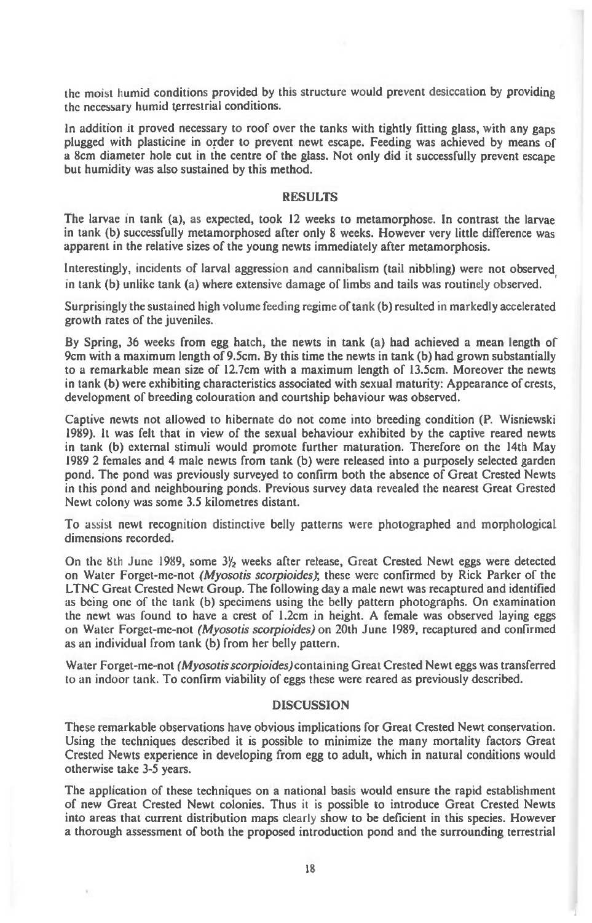the moist humid conditions provided by this structure would prevent desiccation by providing the necessary humid terrestrial conditions.

In addition it proved necessary to roof over the tanks with tightly fitting glass, with any gaps plugged with plasticine in order to prevent newt escape. Feeding was achieved by means of a 8cm diameter hole cut in the centre of the glass. Not only did it successfully prevent escape but humidity was also sustained by this method.

#### RESULTS

The larvae in tank (a), as expected, took 12 weeks to metamorphose. In contrast the larvae in tank (b) successfully metamorphosed after only 8 weeks. However very little difference was apparent in the relative sizes of the young newts immediately after metamorphosis.

Interestingly, incidents of larval aggression and cannibalism (tail nibbling) were not observed in tank (b) unlike tank (a) where extensive damage of limbs and tails was routinely observed.

Surprisingly the sustained high volume feeding regime of tank (b) resulted in markedly accelerated growth rates of the juveniles.

By Spring, 36 weeks from egg hatch, the newts in tank (a) had achieved a mean length of 9cm with a maximum length of 9.5cm. By this time the newts in tank (b) had grown substantially to a remarkable mean size of 12.7cm with a maximum length of 13.5cm. Moreover the newts in tank (b) were exhibiting characteristics associated with sexual maturity: Appearance of crests, development of breeding colouration and courtship behaviour was observed.

Captive newts not allowed to hibernate do not come into breeding condition (P. Wisniewski 1989). It was felt that in view of the sexual behaviour exhibited by the captive reared newts in tank (b) external stimuli would promote further maturation. Therefore on the 14th May 1989 2 females and 4 male newts from tank (b) were released into a purposely selected garden pond. The pond was previously surveyed to confirm both the absence of Great Crested Newts in this pond and neighbouring ponds. Previous survey data revealed the nearest Great Grested Newt colony was some 3.5 kilometres distant.

To assist newt recognition distinctive belly patterns were photographed and morphological dimensions recorded.

On the 8th June 1989, some  $3\frac{1}{2}$  weeks after release, Great Crested Newt eggs were detected on Water Forget-me-not *(Myosotis scorpioides);* these were confirmed by Rick Parker of the LTNC Great Crested Newt Group. The following day a male newt was recaptured and identified as being one of the tank (b) specimens using the belly pattern photographs. On examination the newt was found to have a crest of 1.2cm in height. A female was observed laying eggs on Water Forget-me-not *(Myosotis scorpioides)* on 20th June 1989, recaptured and confirmed as an individual from tank (b) from her belly pattern.

Water Forget-me-not *(Myosotis scorpioides)contaming* Great Crested Newt eggs was transferred to an indoor tank. To confirm viability of eggs these were reared as previously described.

### **DISCUSSION**

These remarkable observations have obvious implications for Great Crested Newt conservation. Using the techniques described it is possible to minimize the many mortality factors Great Crested Newts experience in developing from egg to adult, which in natural conditions would otherwise take 3-5 years.

The application of these techniques on a national basis would ensure the rapid establishment of new Great Crested Newt colonies. Thus it is possible to introduce Great Crested Newts into areas that current distribution maps clearly show to be deficient in this species. However a thorough assessment of both the proposed introduction pond and the surrounding terrestrial